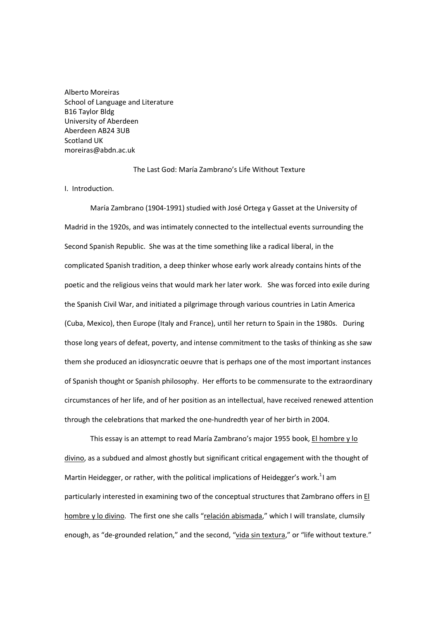Alberto Moreiras School of Language and Literature B16 Taylor Bldg University of Aberdeen Aberdeen AB24 3UB Scotland UK moreiras@abdn.ac.uk

The Last God: María Zambrano's Life Without Texture

I. Introduction.

 María Zambrano (1904-1991) studied with José Ortega y Gasset at the University of Madrid in the 1920s, and was intimately connected to the intellectual events surrounding the Second Spanish Republic. She was at the time something like a radical liberal, in the complicated Spanish tradition, a deep thinker whose early work already contains hints of the poetic and the religious veins that would mark her later work. She was forced into exile during the Spanish Civil War, and initiated a pilgrimage through various countries in Latin America (Cuba, Mexico), then Europe (Italy and France), until her return to Spain in the 1980s. During those long years of defeat, poverty, and intense commitment to the tasks of thinking as she saw them she produced an idiosyncratic oeuvre that is perhaps one of the most important instances of Spanish thought or Spanish philosophy. Her efforts to be commensurate to the extraordinary circumstances of her life, and of her position as an intellectual, have received renewed attention through the celebrations that marked the one-hundredth year of her birth in 2004.

This essay is an attempt to read María Zambrano's major 1955 book, El hombre y lo divino, as a subdued and almost ghostly but significant critical engagement with the thought of Martin Heidegger, or rather, with the political implications of Heidegger's work.<sup>1</sup>I am particularly interested in examining two of the conceptual structures that Zambrano offers in El hombre y lo divino. The first one she calls "relación abismada," which I will translate, clumsily enough, as "de-grounded relation," and the second, "vida sin textura," or "life without texture."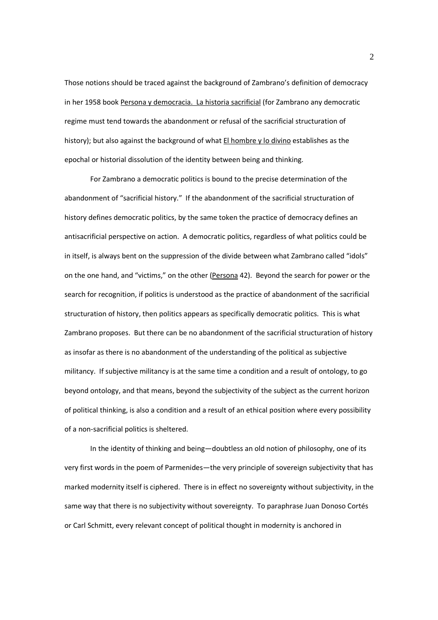Those notions should be traced against the background of Zambrano's definition of democracy in her 1958 book Persona y democracia. La historia sacrificial (for Zambrano any democratic regime must tend towards the abandonment or refusal of the sacrificial structuration of history); but also against the background of what El hombre y lo divino establishes as the epochal or historial dissolution of the identity between being and thinking.

For Zambrano a democratic politics is bound to the precise determination of the abandonment of "sacrificial history." If the abandonment of the sacrificial structuration of history defines democratic politics, by the same token the practice of democracy defines an antisacrificial perspective on action. A democratic politics, regardless of what politics could be in itself, is always bent on the suppression of the divide between what Zambrano called "idols" on the one hand, and "victims," on the other (Persona 42). Beyond the search for power or the search for recognition, if politics is understood as the practice of abandonment of the sacrificial structuration of history, then politics appears as specifically democratic politics. This is what Zambrano proposes. But there can be no abandonment of the sacrificial structuration of history as insofar as there is no abandonment of the understanding of the political as subjective militancy. If subjective militancy is at the same time a condition and a result of ontology, to go beyond ontology, and that means, beyond the subjectivity of the subject as the current horizon of political thinking, is also a condition and a result of an ethical position where every possibility of a non-sacrificial politics is sheltered.

 In the identity of thinking and being—doubtless an old notion of philosophy, one of its very first words in the poem of Parmenides—the very principle of sovereign subjectivity that has marked modernity itself is ciphered. There is in effect no sovereignty without subjectivity, in the same way that there is no subjectivity without sovereignty. To paraphrase Juan Donoso Cortés or Carl Schmitt, every relevant concept of political thought in modernity is anchored in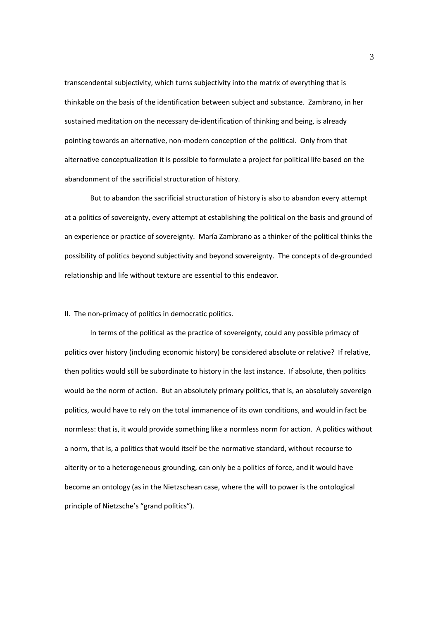transcendental subjectivity, which turns subjectivity into the matrix of everything that is thinkable on the basis of the identification between subject and substance. Zambrano, in her sustained meditation on the necessary de-identification of thinking and being, is already pointing towards an alternative, non-modern conception of the political. Only from that alternative conceptualization it is possible to formulate a project for political life based on the abandonment of the sacrificial structuration of history.

 But to abandon the sacrificial structuration of history is also to abandon every attempt at a politics of sovereignty, every attempt at establishing the political on the basis and ground of an experience or practice of sovereignty. María Zambrano as a thinker of the political thinks the possibility of politics beyond subjectivity and beyond sovereignty. The concepts of de-grounded relationship and life without texture are essential to this endeavor.

II. The non-primacy of politics in democratic politics.

 In terms of the political as the practice of sovereignty, could any possible primacy of politics over history (including economic history) be considered absolute or relative? If relative, then politics would still be subordinate to history in the last instance. If absolute, then politics would be the norm of action. But an absolutely primary politics, that is, an absolutely sovereign politics, would have to rely on the total immanence of its own conditions, and would in fact be normless: that is, it would provide something like a normless norm for action. A politics without a norm, that is, a politics that would itself be the normative standard, without recourse to alterity or to a heterogeneous grounding, can only be a politics of force, and it would have become an ontology (as in the Nietzschean case, where the will to power is the ontological principle of Nietzsche's "grand politics").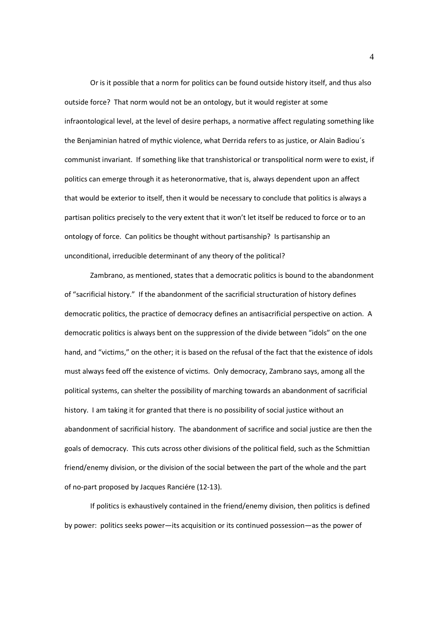Or is it possible that a norm for politics can be found outside history itself, and thus also outside force? That norm would not be an ontology, but it would register at some infraontological level, at the level of desire perhaps, a normative affect regulating something like the Benjaminian hatred of mythic violence, what Derrida refers to as justice, or Alain Badiou´s communist invariant. If something like that transhistorical or transpolitical norm were to exist, if politics can emerge through it as heteronormative, that is, always dependent upon an affect that would be exterior to itself, then it would be necessary to conclude that politics is always a partisan politics precisely to the very extent that it won't let itself be reduced to force or to an ontology of force. Can politics be thought without partisanship? Is partisanship an unconditional, irreducible determinant of any theory of the political?

Zambrano, as mentioned, states that a democratic politics is bound to the abandonment of "sacrificial history." If the abandonment of the sacrificial structuration of history defines democratic politics, the practice of democracy defines an antisacrificial perspective on action. A democratic politics is always bent on the suppression of the divide between "idols" on the one hand, and "victims," on the other; it is based on the refusal of the fact that the existence of idols must always feed off the existence of victims. Only democracy, Zambrano says, among all the political systems, can shelter the possibility of marching towards an abandonment of sacrificial history. I am taking it for granted that there is no possibility of social justice without an abandonment of sacrificial history. The abandonment of sacrifice and social justice are then the goals of democracy. This cuts across other divisions of the political field, such as the Schmittian friend/enemy division, or the division of the social between the part of the whole and the part of no-part proposed by Jacques Ranciére (12-13).

If politics is exhaustively contained in the friend/enemy division, then politics is defined by power: politics seeks power—its acquisition or its continued possession—as the power of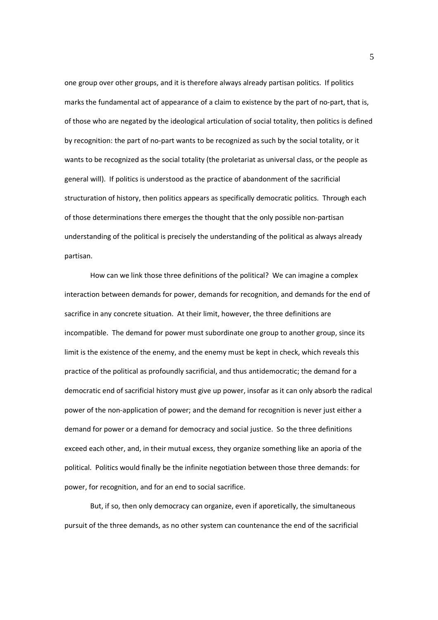one group over other groups, and it is therefore always already partisan politics. If politics marks the fundamental act of appearance of a claim to existence by the part of no-part, that is, of those who are negated by the ideological articulation of social totality, then politics is defined by recognition: the part of no-part wants to be recognized as such by the social totality, or it wants to be recognized as the social totality (the proletariat as universal class, or the people as general will). If politics is understood as the practice of abandonment of the sacrificial structuration of history, then politics appears as specifically democratic politics. Through each of those determinations there emerges the thought that the only possible non-partisan understanding of the political is precisely the understanding of the political as always already partisan.

How can we link those three definitions of the political? We can imagine a complex interaction between demands for power, demands for recognition, and demands for the end of sacrifice in any concrete situation. At their limit, however, the three definitions are incompatible. The demand for power must subordinate one group to another group, since its limit is the existence of the enemy, and the enemy must be kept in check, which reveals this practice of the political as profoundly sacrificial, and thus antidemocratic; the demand for a democratic end of sacrificial history must give up power, insofar as it can only absorb the radical power of the non-application of power; and the demand for recognition is never just either a demand for power or a demand for democracy and social justice. So the three definitions exceed each other, and, in their mutual excess, they organize something like an aporia of the political. Politics would finally be the infinite negotiation between those three demands: for power, for recognition, and for an end to social sacrifice.

But, if so, then only democracy can organize, even if aporetically, the simultaneous pursuit of the three demands, as no other system can countenance the end of the sacrificial 5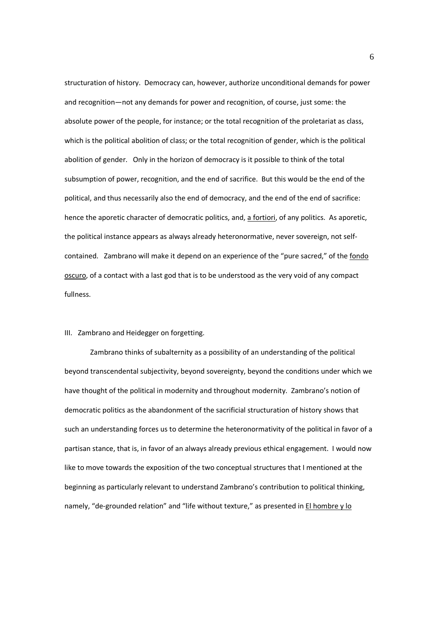structuration of history. Democracy can, however, authorize unconditional demands for power and recognition—not any demands for power and recognition, of course, just some: the absolute power of the people, for instance; or the total recognition of the proletariat as class, which is the political abolition of class; or the total recognition of gender, which is the political abolition of gender. Only in the horizon of democracy is it possible to think of the total subsumption of power, recognition, and the end of sacrifice. But this would be the end of the political, and thus necessarily also the end of democracy, and the end of the end of sacrifice: hence the aporetic character of democratic politics, and, a fortiori, of any politics. As aporetic, the political instance appears as always already heteronormative, never sovereign, not selfcontained. Zambrano will make it depend on an experience of the "pure sacred," of the fondo oscuro, of a contact with a last god that is to be understood as the very void of any compact fullness.

## III. Zambrano and Heidegger on forgetting.

 Zambrano thinks of subalternity as a possibility of an understanding of the political beyond transcendental subjectivity, beyond sovereignty, beyond the conditions under which we have thought of the political in modernity and throughout modernity. Zambrano's notion of democratic politics as the abandonment of the sacrificial structuration of history shows that such an understanding forces us to determine the heteronormativity of the political in favor of a partisan stance, that is, in favor of an always already previous ethical engagement. I would now like to move towards the exposition of the two conceptual structures that I mentioned at the beginning as particularly relevant to understand Zambrano's contribution to political thinking, namely, "de-grounded relation" and "life without texture," as presented in El hombre y lo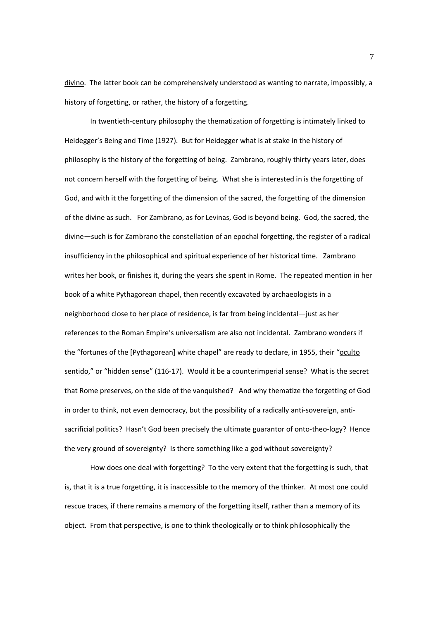divino. The latter book can be comprehensively understood as wanting to narrate, impossibly, a history of forgetting, or rather, the history of a forgetting.

 In twentieth-century philosophy the thematization of forgetting is intimately linked to Heidegger's Being and Time (1927). But for Heidegger what is at stake in the history of philosophy is the history of the forgetting of being. Zambrano, roughly thirty years later, does not concern herself with the forgetting of being. What she is interested in is the forgetting of God, and with it the forgetting of the dimension of the sacred, the forgetting of the dimension of the divine as such. For Zambrano, as for Levinas, God is beyond being. God, the sacred, the divine—such is for Zambrano the constellation of an epochal forgetting, the register of a radical insufficiency in the philosophical and spiritual experience of her historical time. Zambrano writes her book, or finishes it, during the years she spent in Rome. The repeated mention in her book of a white Pythagorean chapel, then recently excavated by archaeologists in a neighborhood close to her place of residence, is far from being incidental—just as her references to the Roman Empire's universalism are also not incidental. Zambrano wonders if the "fortunes of the [Pythagorean] white chapel" are ready to declare, in 1955, their "oculto sentido," or "hidden sense" (116-17). Would it be a counterimperial sense? What is the secret that Rome preserves, on the side of the vanquished? And why thematize the forgetting of God in order to think, not even democracy, but the possibility of a radically anti-sovereign, antisacrificial politics? Hasn't God been precisely the ultimate guarantor of onto-theo-logy? Hence the very ground of sovereignty? Is there something like a god without sovereignty?

 How does one deal with forgetting? To the very extent that the forgetting is such, that is, that it is a true forgetting, it is inaccessible to the memory of the thinker. At most one could rescue traces, if there remains a memory of the forgetting itself, rather than a memory of its object. From that perspective, is one to think theologically or to think philosophically the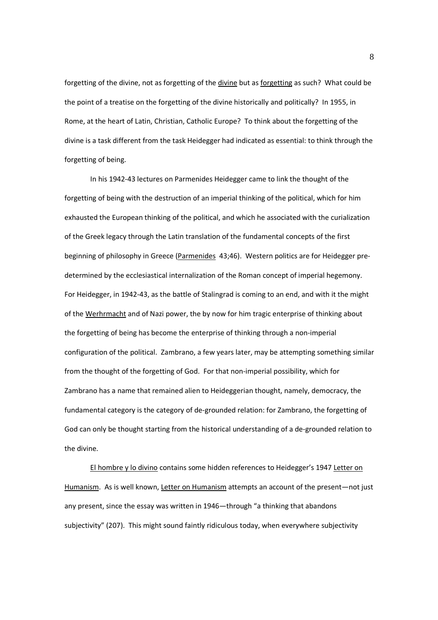forgetting of the divine, not as forgetting of the divine but as forgetting as such? What could be the point of a treatise on the forgetting of the divine historically and politically? In 1955, in Rome, at the heart of Latin, Christian, Catholic Europe? To think about the forgetting of the divine is a task different from the task Heidegger had indicated as essential: to think through the forgetting of being.

In his 1942-43 lectures on Parmenides Heidegger came to link the thought of the forgetting of being with the destruction of an imperial thinking of the political, which for him exhausted the European thinking of the political, and which he associated with the curialization of the Greek legacy through the Latin translation of the fundamental concepts of the first beginning of philosophy in Greece (Parmenides 43;46). Western politics are for Heidegger predetermined by the ecclesiastical internalization of the Roman concept of imperial hegemony. For Heidegger, in 1942-43, as the battle of Stalingrad is coming to an end, and with it the might of the Werhrmacht and of Nazi power, the by now for him tragic enterprise of thinking about the forgetting of being has become the enterprise of thinking through a non-imperial configuration of the political. Zambrano, a few years later, may be attempting something similar from the thought of the forgetting of God. For that non-imperial possibility, which for Zambrano has a name that remained alien to Heideggerian thought, namely, democracy, the fundamental category is the category of de-grounded relation: for Zambrano, the forgetting of God can only be thought starting from the historical understanding of a de-grounded relation to the divine.

El hombre y lo divino contains some hidden references to Heidegger's 1947 Letter on Humanism. As is well known, Letter on Humanism attempts an account of the present—not just any present, since the essay was written in 1946—through "a thinking that abandons subjectivity" (207). This might sound faintly ridiculous today, when everywhere subjectivity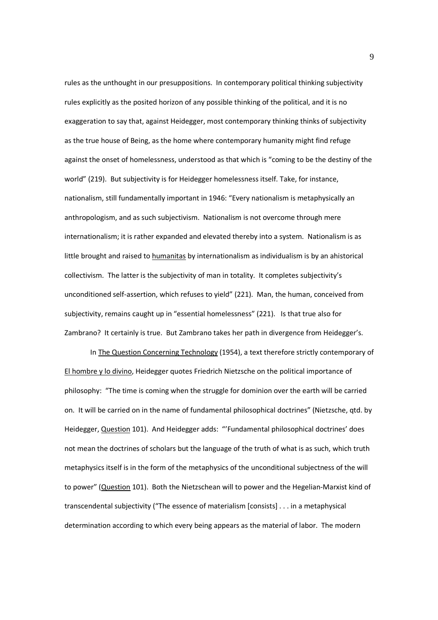rules as the unthought in our presuppositions. In contemporary political thinking subjectivity rules explicitly as the posited horizon of any possible thinking of the political, and it is no exaggeration to say that, against Heidegger, most contemporary thinking thinks of subjectivity as the true house of Being, as the home where contemporary humanity might find refuge against the onset of homelessness, understood as that which is "coming to be the destiny of the world" (219). But subjectivity is for Heidegger homelessness itself. Take, for instance, nationalism, still fundamentally important in 1946: "Every nationalism is metaphysically an anthropologism, and as such subjectivism. Nationalism is not overcome through mere internationalism; it is rather expanded and elevated thereby into a system. Nationalism is as little brought and raised to humanitas by internationalism as individualism is by an ahistorical collectivism. The latter is the subjectivity of man in totality. It completes subjectivity's unconditioned self-assertion, which refuses to yield" (221). Man, the human, conceived from subjectivity, remains caught up in "essential homelessness" (221). Is that true also for Zambrano? It certainly is true. But Zambrano takes her path in divergence from Heidegger's.

 In The Question Concerning Technology (1954), a text therefore strictly contemporary of El hombre y lo divino, Heidegger quotes Friedrich Nietzsche on the political importance of philosophy: "The time is coming when the struggle for dominion over the earth will be carried on. It will be carried on in the name of fundamental philosophical doctrines" (Nietzsche, qtd. by Heidegger, Question 101). And Heidegger adds: "'Fundamental philosophical doctrines' does not mean the doctrines of scholars but the language of the truth of what is as such, which truth metaphysics itself is in the form of the metaphysics of the unconditional subjectness of the will to power" (Question 101). Both the Nietzschean will to power and the Hegelian-Marxist kind of transcendental subjectivity ("The essence of materialism [consists] . . . in a metaphysical determination according to which every being appears as the material of labor. The modern

9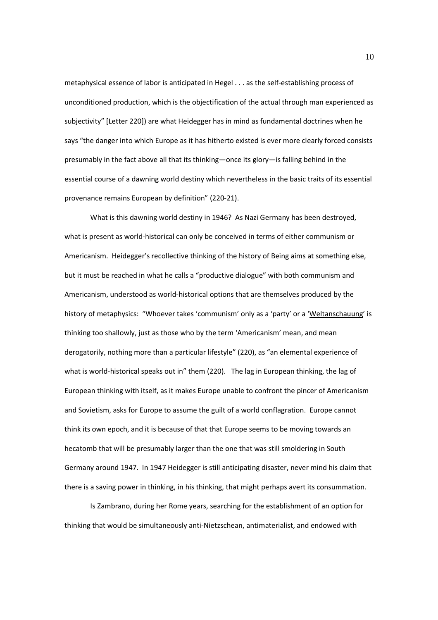metaphysical essence of labor is anticipated in Hegel . . . as the self-establishing process of unconditioned production, which is the objectification of the actual through man experienced as subjectivity" [Letter 220]) are what Heidegger has in mind as fundamental doctrines when he says "the danger into which Europe as it has hitherto existed is ever more clearly forced consists presumably in the fact above all that its thinking—once its glory—is falling behind in the essential course of a dawning world destiny which nevertheless in the basic traits of its essential provenance remains European by definition" (220-21).

 What is this dawning world destiny in 1946? As Nazi Germany has been destroyed, what is present as world-historical can only be conceived in terms of either communism or Americanism. Heidegger's recollective thinking of the history of Being aims at something else, but it must be reached in what he calls a "productive dialogue" with both communism and Americanism, understood as world-historical options that are themselves produced by the history of metaphysics: "Whoever takes 'communism' only as a 'party' or a 'Weltanschauung' is thinking too shallowly, just as those who by the term 'Americanism' mean, and mean derogatorily, nothing more than a particular lifestyle" (220), as "an elemental experience of what is world-historical speaks out in" them (220). The lag in European thinking, the lag of European thinking with itself, as it makes Europe unable to confront the pincer of Americanism and Sovietism, asks for Europe to assume the guilt of a world conflagration. Europe cannot think its own epoch, and it is because of that that Europe seems to be moving towards an hecatomb that will be presumably larger than the one that was still smoldering in South Germany around 1947. In 1947 Heidegger is still anticipating disaster, never mind his claim that there is a saving power in thinking, in his thinking, that might perhaps avert its consummation.

Is Zambrano, during her Rome years, searching for the establishment of an option for thinking that would be simultaneously anti-Nietzschean, antimaterialist, and endowed with

10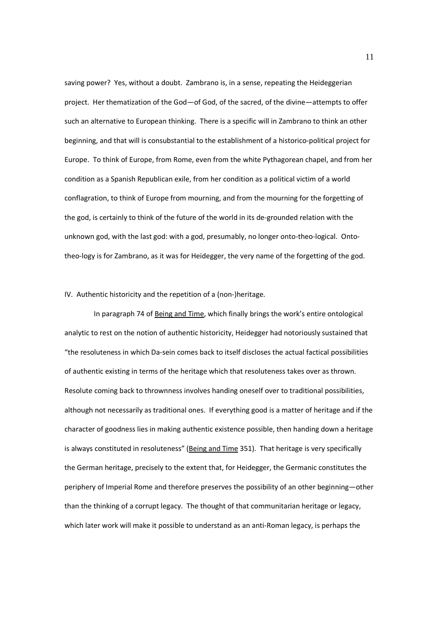saving power? Yes, without a doubt. Zambrano is, in a sense, repeating the Heideggerian project. Her thematization of the God—of God, of the sacred, of the divine—attempts to offer such an alternative to European thinking. There is a specific will in Zambrano to think an other beginning, and that will is consubstantial to the establishment of a historico-political project for Europe. To think of Europe, from Rome, even from the white Pythagorean chapel, and from her condition as a Spanish Republican exile, from her condition as a political victim of a world conflagration, to think of Europe from mourning, and from the mourning for the forgetting of the god, is certainly to think of the future of the world in its de-grounded relation with the unknown god, with the last god: with a god, presumably, no longer onto-theo-logical. Ontotheo-logy is for Zambrano, as it was for Heidegger, the very name of the forgetting of the god.

IV. Authentic historicity and the repetition of a (non-)heritage.

 In paragraph 74 of Being and Time, which finally brings the work's entire ontological analytic to rest on the notion of authentic historicity, Heidegger had notoriously sustained that "the resoluteness in which Da-sein comes back to itself discloses the actual factical possibilities of authentic existing in terms of the heritage which that resoluteness takes over as thrown. Resolute coming back to thrownness involves handing oneself over to traditional possibilities, although not necessarily as traditional ones. If everything good is a matter of heritage and if the character of goodness lies in making authentic existence possible, then handing down a heritage is always constituted in resoluteness" (Being and Time 351). That heritage is very specifically the German heritage, precisely to the extent that, for Heidegger, the Germanic constitutes the periphery of Imperial Rome and therefore preserves the possibility of an other beginning—other than the thinking of a corrupt legacy. The thought of that communitarian heritage or legacy, which later work will make it possible to understand as an anti-Roman legacy, is perhaps the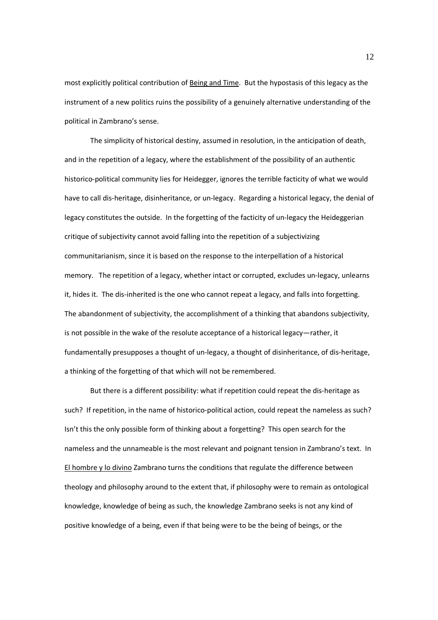most explicitly political contribution of Being and Time. But the hypostasis of this legacy as the instrument of a new politics ruins the possibility of a genuinely alternative understanding of the political in Zambrano's sense.

 The simplicity of historical destiny, assumed in resolution, in the anticipation of death, and in the repetition of a legacy, where the establishment of the possibility of an authentic historico-political community lies for Heidegger, ignores the terrible facticity of what we would have to call dis-heritage, disinheritance, or un-legacy. Regarding a historical legacy, the denial of legacy constitutes the outside. In the forgetting of the facticity of un-legacy the Heideggerian critique of subjectivity cannot avoid falling into the repetition of a subjectivizing communitarianism, since it is based on the response to the interpellation of a historical memory. The repetition of a legacy, whether intact or corrupted, excludes un-legacy, unlearns it, hides it. The dis-inherited is the one who cannot repeat a legacy, and falls into forgetting. The abandonment of subjectivity, the accomplishment of a thinking that abandons subjectivity, is not possible in the wake of the resolute acceptance of a historical legacy—rather, it fundamentally presupposes a thought of un-legacy, a thought of disinheritance, of dis-heritage, a thinking of the forgetting of that which will not be remembered.

 But there is a different possibility: what if repetition could repeat the dis-heritage as such? If repetition, in the name of historico-political action, could repeat the nameless as such? Isn't this the only possible form of thinking about a forgetting? This open search for the nameless and the unnameable is the most relevant and poignant tension in Zambrano's text. In El hombre y lo divino Zambrano turns the conditions that regulate the difference between theology and philosophy around to the extent that, if philosophy were to remain as ontological knowledge, knowledge of being as such, the knowledge Zambrano seeks is not any kind of positive knowledge of a being, even if that being were to be the being of beings, or the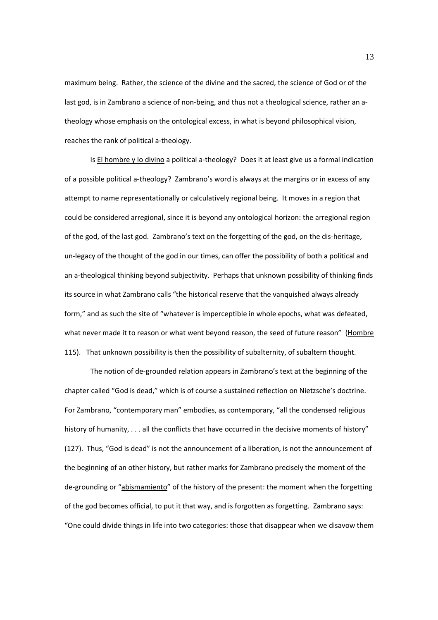maximum being. Rather, the science of the divine and the sacred, the science of God or of the last god, is in Zambrano a science of non-being, and thus not a theological science, rather an atheology whose emphasis on the ontological excess, in what is beyond philosophical vision, reaches the rank of political a-theology.

 Is El hombre y lo divino a political a-theology? Does it at least give us a formal indication of a possible political a-theology? Zambrano's word is always at the margins or in excess of any attempt to name representationally or calculatively regional being. It moves in a region that could be considered arregional, since it is beyond any ontological horizon: the arregional region of the god, of the last god. Zambrano's text on the forgetting of the god, on the dis-heritage, un-legacy of the thought of the god in our times, can offer the possibility of both a political and an a-theological thinking beyond subjectivity. Perhaps that unknown possibility of thinking finds its source in what Zambrano calls "the historical reserve that the vanquished always already form," and as such the site of "whatever is imperceptible in whole epochs, what was defeated, what never made it to reason or what went beyond reason, the seed of future reason" (Hombre 115). That unknown possibility is then the possibility of subalternity, of subaltern thought.

 The notion of de-grounded relation appears in Zambrano's text at the beginning of the chapter called "God is dead," which is of course a sustained reflection on Nietzsche's doctrine. For Zambrano, "contemporary man" embodies, as contemporary, "all the condensed religious history of humanity, . . . all the conflicts that have occurred in the decisive moments of history" (127). Thus, "God is dead" is not the announcement of a liberation, is not the announcement of the beginning of an other history, but rather marks for Zambrano precisely the moment of the de-grounding or "abismamiento" of the history of the present: the moment when the forgetting of the god becomes official, to put it that way, and is forgotten as forgetting. Zambrano says: "One could divide things in life into two categories: those that disappear when we disavow them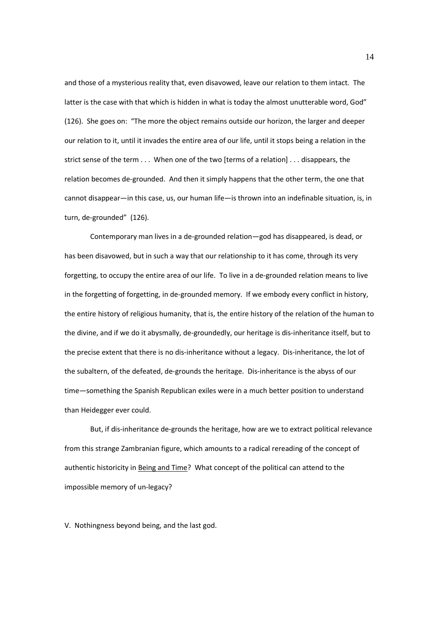and those of a mysterious reality that, even disavowed, leave our relation to them intact. The latter is the case with that which is hidden in what is today the almost unutterable word, God" (126). She goes on: "The more the object remains outside our horizon, the larger and deeper our relation to it, until it invades the entire area of our life, until it stops being a relation in the strict sense of the term . . . When one of the two [terms of a relation] . . . disappears, the relation becomes de-grounded. And then it simply happens that the other term, the one that cannot disappear—in this case, us, our human life—is thrown into an indefinable situation, is, in turn, de-grounded" (126).

 Contemporary man lives in a de-grounded relation—god has disappeared, is dead, or has been disavowed, but in such a way that our relationship to it has come, through its very forgetting, to occupy the entire area of our life. To live in a de-grounded relation means to live in the forgetting of forgetting, in de-grounded memory. If we embody every conflict in history, the entire history of religious humanity, that is, the entire history of the relation of the human to the divine, and if we do it abysmally, de-groundedly, our heritage is dis-inheritance itself, but to the precise extent that there is no dis-inheritance without a legacy. Dis-inheritance, the lot of the subaltern, of the defeated, de-grounds the heritage. Dis-inheritance is the abyss of our time—something the Spanish Republican exiles were in a much better position to understand than Heidegger ever could.

 But, if dis-inheritance de-grounds the heritage, how are we to extract political relevance from this strange Zambranian figure, which amounts to a radical rereading of the concept of authentic historicity in Being and Time? What concept of the political can attend to the impossible memory of un-legacy?

V. Nothingness beyond being, and the last god.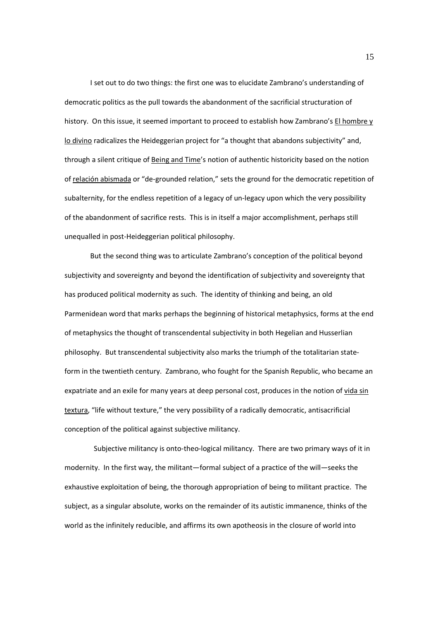I set out to do two things: the first one was to elucidate Zambrano's understanding of democratic politics as the pull towards the abandonment of the sacrificial structuration of history. On this issue, it seemed important to proceed to establish how Zambrano's El hombre y lo divino radicalizes the Heideggerian project for "a thought that abandons subjectivity" and, through a silent critique of Being and Time's notion of authentic historicity based on the notion of relación abismada or "de-grounded relation," sets the ground for the democratic repetition of subalternity, for the endless repetition of a legacy of un-legacy upon which the very possibility of the abandonment of sacrifice rests. This is in itself a major accomplishment, perhaps still unequalled in post-Heideggerian political philosophy.

 But the second thing was to articulate Zambrano's conception of the political beyond subjectivity and sovereignty and beyond the identification of subjectivity and sovereignty that has produced political modernity as such. The identity of thinking and being, an old Parmenidean word that marks perhaps the beginning of historical metaphysics, forms at the end of metaphysics the thought of transcendental subjectivity in both Hegelian and Husserlian philosophy. But transcendental subjectivity also marks the triumph of the totalitarian stateform in the twentieth century. Zambrano, who fought for the Spanish Republic, who became an expatriate and an exile for many years at deep personal cost, produces in the notion of vida sin textura, "life without texture," the very possibility of a radically democratic, antisacrificial conception of the political against subjective militancy.

 Subjective militancy is onto-theo-logical militancy. There are two primary ways of it in modernity. In the first way, the militant—formal subject of a practice of the will—seeks the exhaustive exploitation of being, the thorough appropriation of being to militant practice. The subject, as a singular absolute, works on the remainder of its autistic immanence, thinks of the world as the infinitely reducible, and affirms its own apotheosis in the closure of world into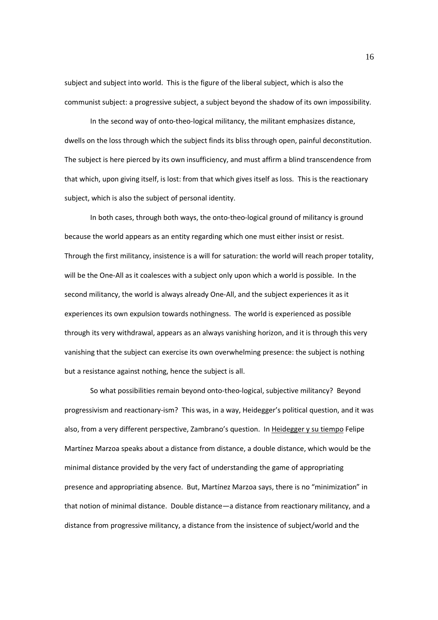subject and subject into world. This is the figure of the liberal subject, which is also the communist subject: a progressive subject, a subject beyond the shadow of its own impossibility.

 In the second way of onto-theo-logical militancy, the militant emphasizes distance, dwells on the loss through which the subject finds its bliss through open, painful deconstitution. The subject is here pierced by its own insufficiency, and must affirm a blind transcendence from that which, upon giving itself, is lost: from that which gives itself as loss. This is the reactionary subject, which is also the subject of personal identity.

 In both cases, through both ways, the onto-theo-logical ground of militancy is ground because the world appears as an entity regarding which one must either insist or resist. Through the first militancy, insistence is a will for saturation: the world will reach proper totality, will be the One-All as it coalesces with a subject only upon which a world is possible. In the second militancy, the world is always already One-All, and the subject experiences it as it experiences its own expulsion towards nothingness. The world is experienced as possible through its very withdrawal, appears as an always vanishing horizon, and it is through this very vanishing that the subject can exercise its own overwhelming presence: the subject is nothing but a resistance against nothing, hence the subject is all.

 So what possibilities remain beyond onto-theo-logical, subjective militancy? Beyond progressivism and reactionary-ism? This was, in a way, Heidegger's political question, and it was also, from a very different perspective, Zambrano's question. In Heidegger y su tiempo Felipe Martínez Marzoa speaks about a distance from distance, a double distance, which would be the minimal distance provided by the very fact of understanding the game of appropriating presence and appropriating absence. But, Martínez Marzoa says, there is no "minimization" in that notion of minimal distance. Double distance—a distance from reactionary militancy, and a distance from progressive militancy, a distance from the insistence of subject/world and the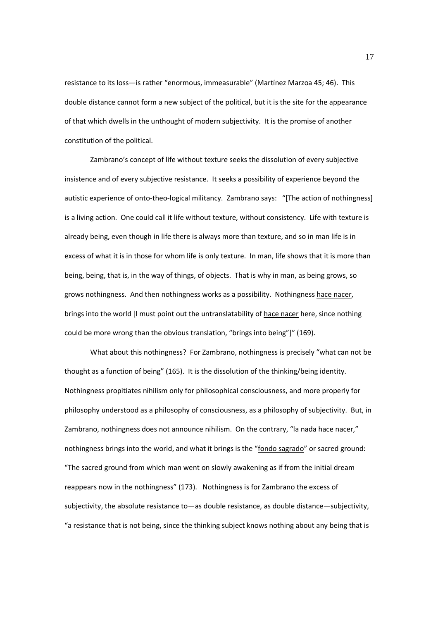resistance to its loss—is rather "enormous, immeasurable" (Martínez Marzoa 45; 46). This double distance cannot form a new subject of the political, but it is the site for the appearance of that which dwells in the unthought of modern subjectivity. It is the promise of another constitution of the political.

 Zambrano's concept of life without texture seeks the dissolution of every subjective insistence and of every subjective resistance. It seeks a possibility of experience beyond the autistic experience of onto-theo-logical militancy. Zambrano says: "[The action of nothingness] is a living action. One could call it life without texture, without consistency. Life with texture is already being, even though in life there is always more than texture, and so in man life is in excess of what it is in those for whom life is only texture. In man, life shows that it is more than being, being, that is, in the way of things, of objects. That is why in man, as being grows, so grows nothingness. And then nothingness works as a possibility. Nothingness hace nacer, brings into the world [I must point out the untranslatability of hace nacer here, since nothing could be more wrong than the obvious translation, "brings into being"]" (169).

 What about this nothingness? For Zambrano, nothingness is precisely "what can not be thought as a function of being" (165). It is the dissolution of the thinking/being identity. Nothingness propitiates nihilism only for philosophical consciousness, and more properly for philosophy understood as a philosophy of consciousness, as a philosophy of subjectivity. But, in Zambrano, nothingness does not announce nihilism. On the contrary, "la nada hace nacer," nothingness brings into the world, and what it brings is the "fondo sagrado" or sacred ground: "The sacred ground from which man went on slowly awakening as if from the initial dream reappears now in the nothingness" (173). Nothingness is for Zambrano the excess of subjectivity, the absolute resistance to—as double resistance, as double distance—subjectivity, "a resistance that is not being, since the thinking subject knows nothing about any being that is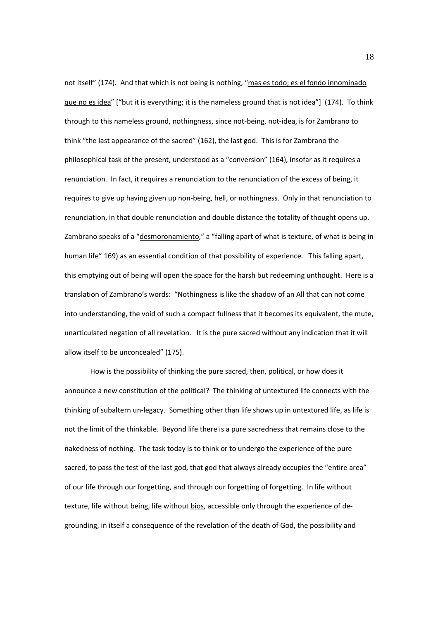not itself" (174). And that which is not being is nothing, "mas es todo; es el fondo innominado que no es idea" ["but it is everything; it is the nameless ground that is not idea"] (174). To think through to this nameless ground, nothingness, since not-being, not-idea, is for Zambrano to think "the last appearance of the sacred" (162), the last god. This is for Zambrano the philosophical task of the present, understood as a "conversion" (164), insofar as it requires a renunciation. In fact, it requires a renunciation to the renunciation of the excess of being, it requires to give up having given up non-being, hell, or nothingness. Only in that renunciation to renunciation, in that double renunciation and double distance the totality of thought opens up. Zambrano speaks of a "desmoronamiento," a "falling apart of what is texture, of what is being in human life" 169) as an essential condition of that possibility of experience. This falling apart, this emptying out of being will open the space for the harsh but redeeming unthought. Here is a translation of Zambrano's words: "Nothingness is like the shadow of an All that can not come into understanding, the void of such a compact fullness that it becomes its equivalent, the mute, unarticulated negation of all revelation. It is the pure sacred without any indication that it will allow itself to be unconcealed" (175).

 How is the possibility of thinking the pure sacred, then, political, or how does it announce a new constitution of the political? The thinking of untextured life connects with the thinking of subaltern un-legacy. Something other than life shows up in untextured life, as life is not the limit of the thinkable. Beyond life there is a pure sacredness that remains close to the nakedness of nothing. The task today is to think or to undergo the experience of the pure sacred, to pass the test of the last god, that god that always already occupies the "entire area" of our life through our forgetting, and through our forgetting of forgetting. In life without texture, life without being, life without bios, accessible only through the experience of degrounding, in itself a consequence of the revelation of the death of God, the possibility and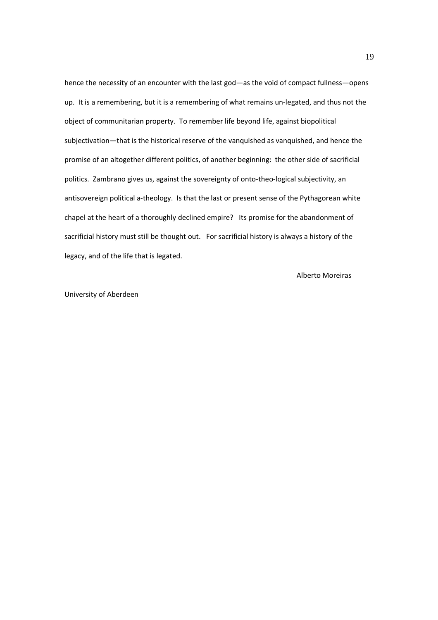hence the necessity of an encounter with the last god—as the void of compact fullness—opens up. It is a remembering, but it is a remembering of what remains un-legated, and thus not the object of communitarian property. To remember life beyond life, against biopolitical subjectivation—that is the historical reserve of the vanquished as vanquished, and hence the promise of an altogether different politics, of another beginning: the other side of sacrificial politics. Zambrano gives us, against the sovereignty of onto-theo-logical subjectivity, an antisovereign political a-theology. Is that the last or present sense of the Pythagorean white chapel at the heart of a thoroughly declined empire? Its promise for the abandonment of sacrificial history must still be thought out. For sacrificial history is always a history of the legacy, and of the life that is legated.

## Alberto Moreiras

University of Aberdeen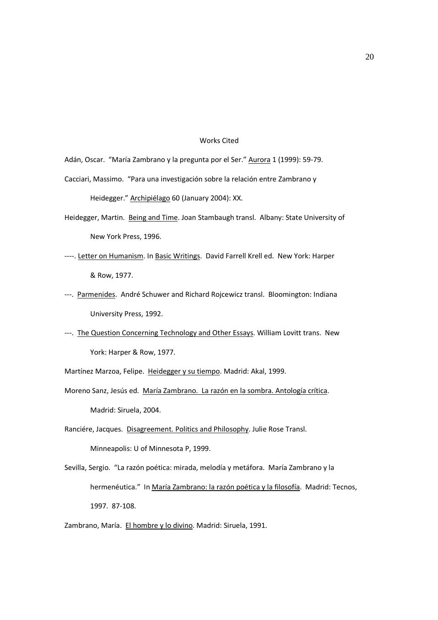## Works Cited

Adán, Oscar. "María Zambrano y la pregunta por el Ser." Aurora 1 (1999): 59-79.

Cacciari, Massimo. "Para una investigación sobre la relación entre Zambrano y

Heidegger." Archipiélago 60 (January 2004): XX.

- Heidegger, Martin. Being and Time. Joan Stambaugh transl. Albany: State University of New York Press, 1996.
- ----. Letter on Humanism. In Basic Writings. David Farrell Krell ed. New York: Harper & Row, 1977.
- ---. Parmenides. André Schuwer and Richard Rojcewicz transl. Bloomington: Indiana University Press, 1992.
- ---. The Question Concerning Technology and Other Essays. William Lovitt trans. New York: Harper & Row, 1977.

Martínez Marzoa, Felipe. Heidegger y su tiempo. Madrid: Akal, 1999.

- Moreno Sanz, Jesús ed. María Zambrano. La razón en la sombra. Antología crítica. Madrid: Siruela, 2004.
- Ranciére, Jacques. Disagreement. Politics and Philosophy. Julie Rose Transl. Minneapolis: U of Minnesota P, 1999.
- Sevilla, Sergio. "La razón poética: mirada, melodía y metáfora. María Zambrano y la hermenéutica." In María Zambrano: la razón poética y la filosofía. Madrid: Tecnos, 1997. 87-108.
- Zambrano, María. El hombre y lo divino. Madrid: Siruela, 1991.